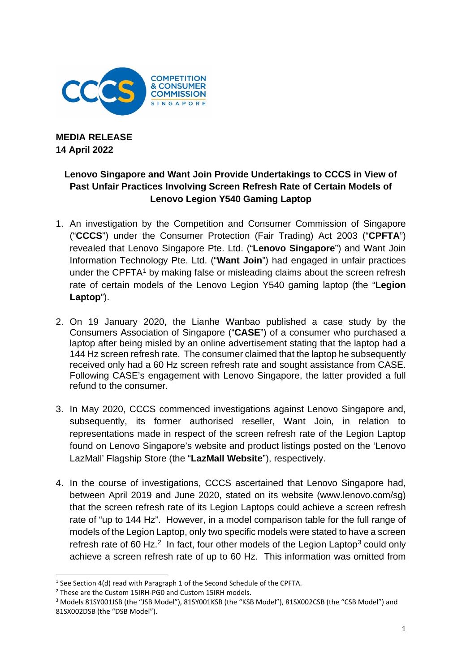

**MEDIA RELEASE 14 April 2022**

## **Lenovo Singapore and Want Join Provide Undertakings to CCCS in View of Past Unfair Practices Involving Screen Refresh Rate of Certain Models of Lenovo Legion Y540 Gaming Laptop**

- 1. An investigation by the Competition and Consumer Commission of Singapore ("**CCCS**") under the Consumer Protection (Fair Trading) Act 2003 ("**CPFTA**") revealed that Lenovo Singapore Pte. Ltd. ("**Lenovo Singapore**") and Want Join Information Technology Pte. Ltd. ("**Want Join**") had engaged in unfair practices under the CPFTA<sup>[1](#page-0-0)</sup> by making false or misleading claims about the screen refresh rate of certain models of the Lenovo Legion Y540 gaming laptop (the "**Legion Laptop**").
- 2. On 19 January 2020, the Lianhe Wanbao published a case study by the Consumers Association of Singapore ("**CASE**") of a consumer who purchased a laptop after being misled by an online advertisement stating that the laptop had a 144 Hz screen refresh rate. The consumer claimed that the laptop he subsequently received only had a 60 Hz screen refresh rate and sought assistance from CASE. Following CASE's engagement with Lenovo Singapore, the latter provided a full refund to the consumer.
- 3. In May 2020, CCCS commenced investigations against Lenovo Singapore and, subsequently, its former authorised reseller, Want Join, in relation to representations made in respect of the screen refresh rate of the Legion Laptop found on Lenovo Singapore's website and product listings posted on the 'Lenovo LazMall' Flagship Store (the "**LazMall Website**"), respectively.
- 4. In the course of investigations, CCCS ascertained that Lenovo Singapore had, between April 2019 and June 2020, stated on its website (www.lenovo.com/sg) that the screen refresh rate of its Legion Laptops could achieve a screen refresh rate of "up to 144 Hz". However, in a model comparison table for the full range of models of the Legion Laptop, only two specific models were stated to have a screen refresh rate of 60 Hz. $<sup>2</sup>$  In fact, four other models of the Legion Laptop<sup>[3](#page-0-2)</sup> could only</sup> achieve a screen refresh rate of up to 60 Hz. This information was omitted from

<span id="page-0-0"></span><sup>&</sup>lt;sup>1</sup> See Section 4(d) read with Paragraph 1 of the Second Schedule of the CPFTA.

<span id="page-0-1"></span><sup>2</sup> These are the Custom 15IRH-PG0 and Custom 15IRH models.

<span id="page-0-2"></span><sup>&</sup>lt;sup>3</sup> Models 81SY001JSB (the "JSB Model"), 81SY001KSB (the "KSB Model"), 81SX002CSB (the "CSB Model") and 81SX002DSB (the "DSB Model").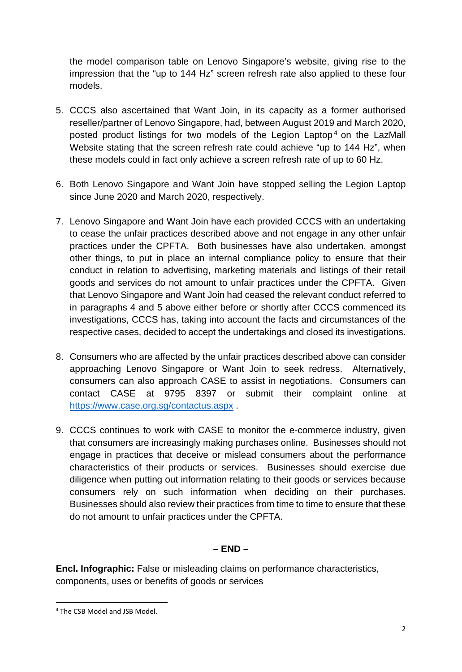the model comparison table on Lenovo Singapore's website, giving rise to the impression that the "up to 144 Hz" screen refresh rate also applied to these four models.

- 5. CCCS also ascertained that Want Join, in its capacity as a former authorised reseller/partner of Lenovo Singapore, had, between August 2019 and March 2020, posted product listings for two models of the Legion Laptop<sup>[4](#page-1-0)</sup> on the LazMall Website stating that the screen refresh rate could achieve "up to 144 Hz", when these models could in fact only achieve a screen refresh rate of up to 60 Hz.
- 6. Both Lenovo Singapore and Want Join have stopped selling the Legion Laptop since June 2020 and March 2020, respectively.
- 7. Lenovo Singapore and Want Join have each provided CCCS with an undertaking to cease the unfair practices described above and not engage in any other unfair practices under the CPFTA. Both businesses have also undertaken, amongst other things, to put in place an internal compliance policy to ensure that their conduct in relation to advertising, marketing materials and listings of their retail goods and services do not amount to unfair practices under the CPFTA. Given that Lenovo Singapore and Want Join had ceased the relevant conduct referred to in paragraphs 4 and 5 above either before or shortly after CCCS commenced its investigations, CCCS has, taking into account the facts and circumstances of the respective cases, decided to accept the undertakings and closed its investigations.
- 8. Consumers who are affected by the unfair practices described above can consider approaching Lenovo Singapore or Want Join to seek redress. Alternatively, consumers can also approach CASE to assist in negotiations. Consumers can contact CASE at 9795 8397 or submit their complaint online at <https://www.case.org.sg/contactus.aspx> .
- 9. CCCS continues to work with CASE to monitor the e-commerce industry, given that consumers are increasingly making purchases online. Businesses should not engage in practices that deceive or mislead consumers about the performance characteristics of their products or services. Businesses should exercise due diligence when putting out information relating to their goods or services because consumers rely on such information when deciding on their purchases. Businesses should also review their practices from time to time to ensure that these do not amount to unfair practices under the CPFTA.

## **– END –**

**Encl. Infographic:** False or misleading claims on performance characteristics, components, uses or benefits of goods or services

<span id="page-1-0"></span><sup>4</sup> The CSB Model and JSB Model.